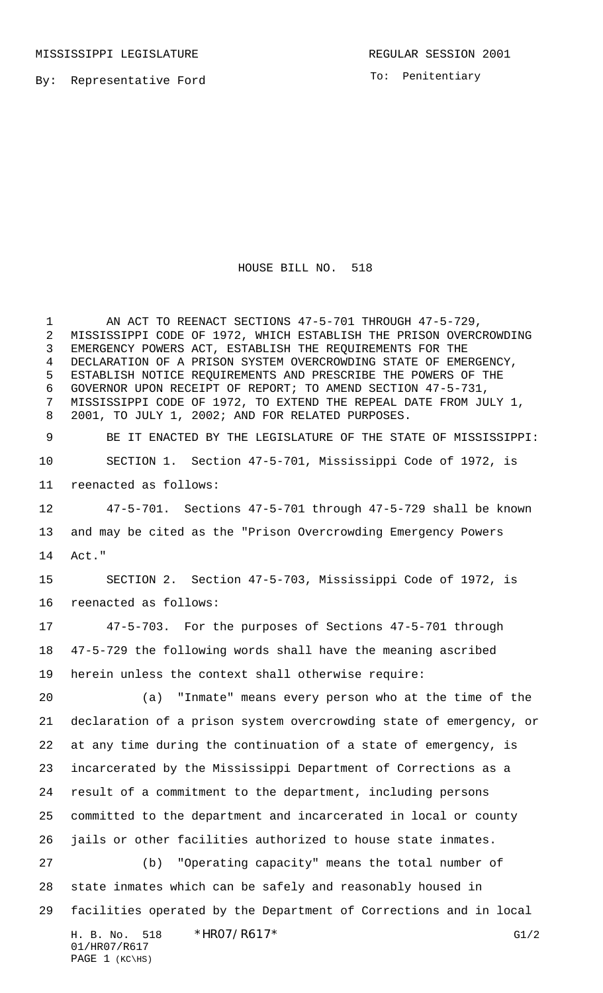MISSISSIPPI LEGISLATURE **REGULAR SESSION 2001** 

By: Representative Ford

PAGE (KC\HS)

To: Penitentiary

## HOUSE BILL NO. 518

H. B. No. 518 \*HRO7/R617\* G1/2 01/HR07/R617 1 AN ACT TO REENACT SECTIONS 47-5-701 THROUGH 47-5-729, MISSISSIPPI CODE OF 1972, WHICH ESTABLISH THE PRISON OVERCROWDING EMERGENCY POWERS ACT, ESTABLISH THE REQUIREMENTS FOR THE DECLARATION OF A PRISON SYSTEM OVERCROWDING STATE OF EMERGENCY, ESTABLISH NOTICE REQUIREMENTS AND PRESCRIBE THE POWERS OF THE GOVERNOR UPON RECEIPT OF REPORT; TO AMEND SECTION 47-5-731, MISSISSIPPI CODE OF 1972, TO EXTEND THE REPEAL DATE FROM JULY 1, 2001, TO JULY 1, 2002; AND FOR RELATED PURPOSES. BE IT ENACTED BY THE LEGISLATURE OF THE STATE OF MISSISSIPPI: SECTION 1. Section 47-5-701, Mississippi Code of 1972, is reenacted as follows: 47-5-701. Sections 47-5-701 through 47-5-729 shall be known and may be cited as the "Prison Overcrowding Emergency Powers Act." SECTION 2. Section 47-5-703, Mississippi Code of 1972, is reenacted as follows: 47-5-703. For the purposes of Sections 47-5-701 through 47-5-729 the following words shall have the meaning ascribed herein unless the context shall otherwise require: (a) "Inmate" means every person who at the time of the declaration of a prison system overcrowding state of emergency, or at any time during the continuation of a state of emergency, is incarcerated by the Mississippi Department of Corrections as a result of a commitment to the department, including persons committed to the department and incarcerated in local or county jails or other facilities authorized to house state inmates. (b) "Operating capacity" means the total number of state inmates which can be safely and reasonably housed in facilities operated by the Department of Corrections and in local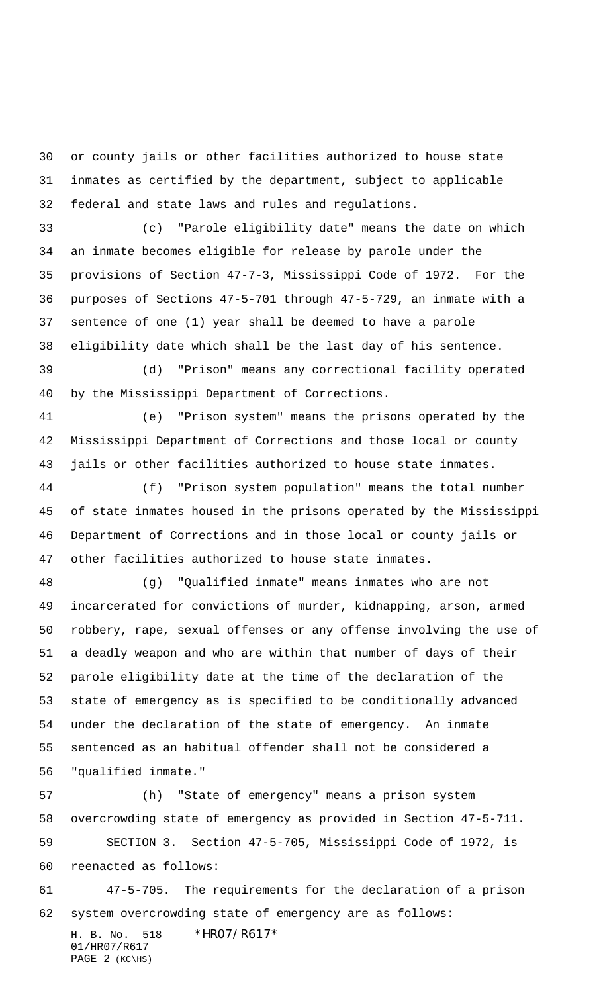or county jails or other facilities authorized to house state inmates as certified by the department, subject to applicable federal and state laws and rules and regulations.

 (c) "Parole eligibility date" means the date on which an inmate becomes eligible for release by parole under the provisions of Section 47-7-3, Mississippi Code of 1972. For the purposes of Sections 47-5-701 through 47-5-729, an inmate with a sentence of one (1) year shall be deemed to have a parole eligibility date which shall be the last day of his sentence.

 (d) "Prison" means any correctional facility operated by the Mississippi Department of Corrections.

 (e) "Prison system" means the prisons operated by the Mississippi Department of Corrections and those local or county jails or other facilities authorized to house state inmates.

 (f) "Prison system population" means the total number of state inmates housed in the prisons operated by the Mississippi Department of Corrections and in those local or county jails or other facilities authorized to house state inmates.

 (g) "Qualified inmate" means inmates who are not incarcerated for convictions of murder, kidnapping, arson, armed robbery, rape, sexual offenses or any offense involving the use of a deadly weapon and who are within that number of days of their parole eligibility date at the time of the declaration of the state of emergency as is specified to be conditionally advanced under the declaration of the state of emergency. An inmate sentenced as an habitual offender shall not be considered a "qualified inmate."

 (h) "State of emergency" means a prison system overcrowding state of emergency as provided in Section 47-5-711. SECTION 3. Section 47-5-705, Mississippi Code of 1972, is reenacted as follows: 47-5-705. The requirements for the declaration of a prison

system overcrowding state of emergency are as follows:

H. B. No. 518 \*HR07/R617\* 01/HR07/R617 PAGE (KC\HS)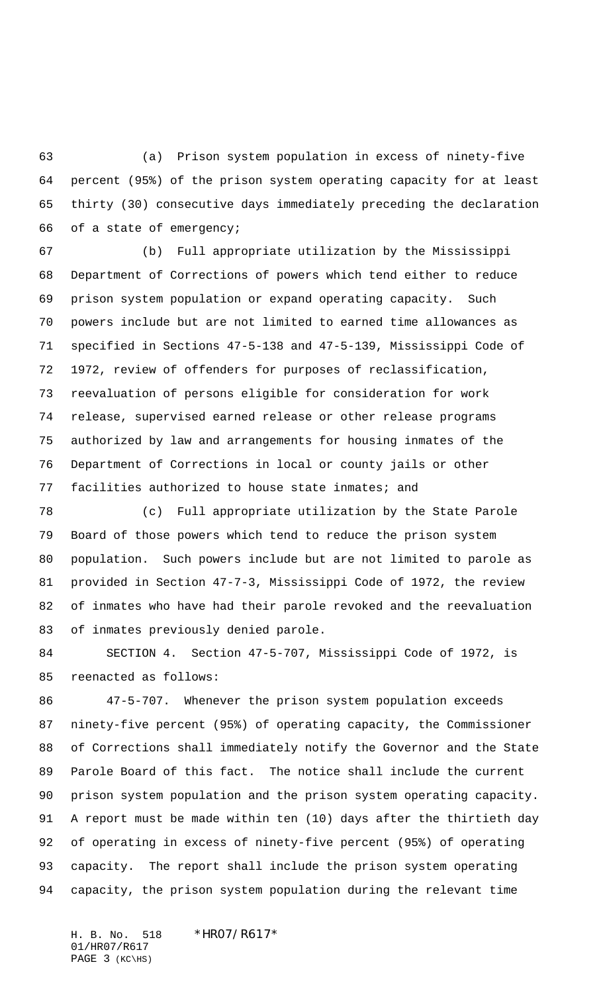(a) Prison system population in excess of ninety-five percent (95%) of the prison system operating capacity for at least thirty (30) consecutive days immediately preceding the declaration of a state of emergency;

 (b) Full appropriate utilization by the Mississippi Department of Corrections of powers which tend either to reduce prison system population or expand operating capacity. Such powers include but are not limited to earned time allowances as specified in Sections 47-5-138 and 47-5-139, Mississippi Code of 1972, review of offenders for purposes of reclassification, reevaluation of persons eligible for consideration for work release, supervised earned release or other release programs authorized by law and arrangements for housing inmates of the Department of Corrections in local or county jails or other facilities authorized to house state inmates; and

 (c) Full appropriate utilization by the State Parole Board of those powers which tend to reduce the prison system population. Such powers include but are not limited to parole as provided in Section 47-7-3, Mississippi Code of 1972, the review of inmates who have had their parole revoked and the reevaluation of inmates previously denied parole.

 SECTION 4. Section 47-5-707, Mississippi Code of 1972, is reenacted as follows:

 47-5-707. Whenever the prison system population exceeds ninety-five percent (95%) of operating capacity, the Commissioner of Corrections shall immediately notify the Governor and the State Parole Board of this fact. The notice shall include the current prison system population and the prison system operating capacity. A report must be made within ten (10) days after the thirtieth day of operating in excess of ninety-five percent (95%) of operating capacity. The report shall include the prison system operating capacity, the prison system population during the relevant time

H. B. No. 518 \*HR07/R617\* 01/HR07/R617 PAGE (KC\HS)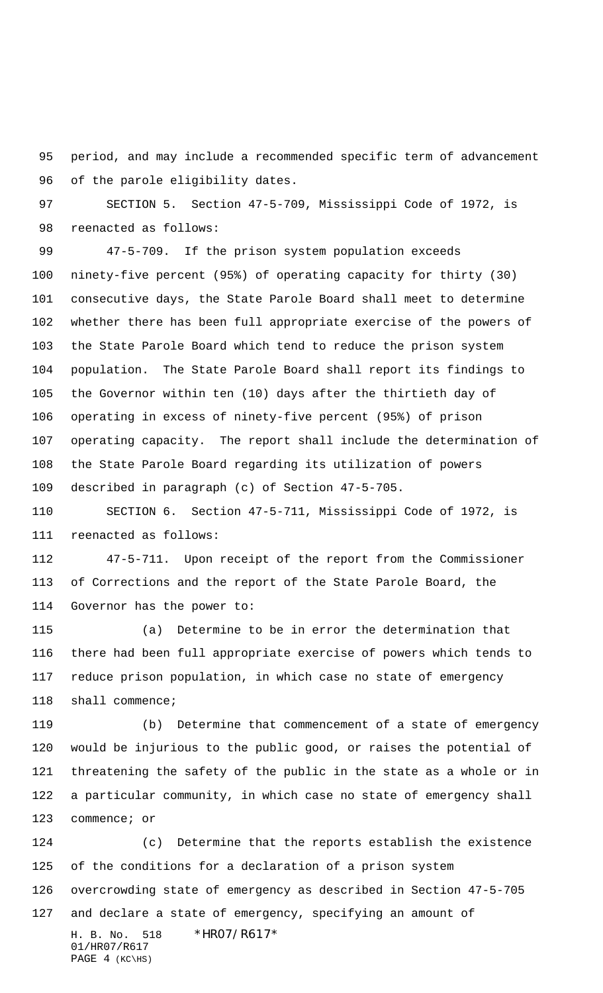period, and may include a recommended specific term of advancement of the parole eligibility dates.

 SECTION 5. Section 47-5-709, Mississippi Code of 1972, is reenacted as follows:

 47-5-709. If the prison system population exceeds ninety-five percent (95%) of operating capacity for thirty (30) consecutive days, the State Parole Board shall meet to determine whether there has been full appropriate exercise of the powers of the State Parole Board which tend to reduce the prison system population. The State Parole Board shall report its findings to the Governor within ten (10) days after the thirtieth day of operating in excess of ninety-five percent (95%) of prison operating capacity. The report shall include the determination of the State Parole Board regarding its utilization of powers described in paragraph (c) of Section 47-5-705.

 SECTION 6. Section 47-5-711, Mississippi Code of 1972, is reenacted as follows:

 47-5-711. Upon receipt of the report from the Commissioner of Corrections and the report of the State Parole Board, the Governor has the power to:

 (a) Determine to be in error the determination that there had been full appropriate exercise of powers which tends to reduce prison population, in which case no state of emergency shall commence;

 (b) Determine that commencement of a state of emergency would be injurious to the public good, or raises the potential of threatening the safety of the public in the state as a whole or in a particular community, in which case no state of emergency shall 123 commence; or

H. B. No. 518 \*HR07/R617\* 01/HR07/R617 (c) Determine that the reports establish the existence of the conditions for a declaration of a prison system overcrowding state of emergency as described in Section 47-5-705 and declare a state of emergency, specifying an amount of

PAGE (KC\HS)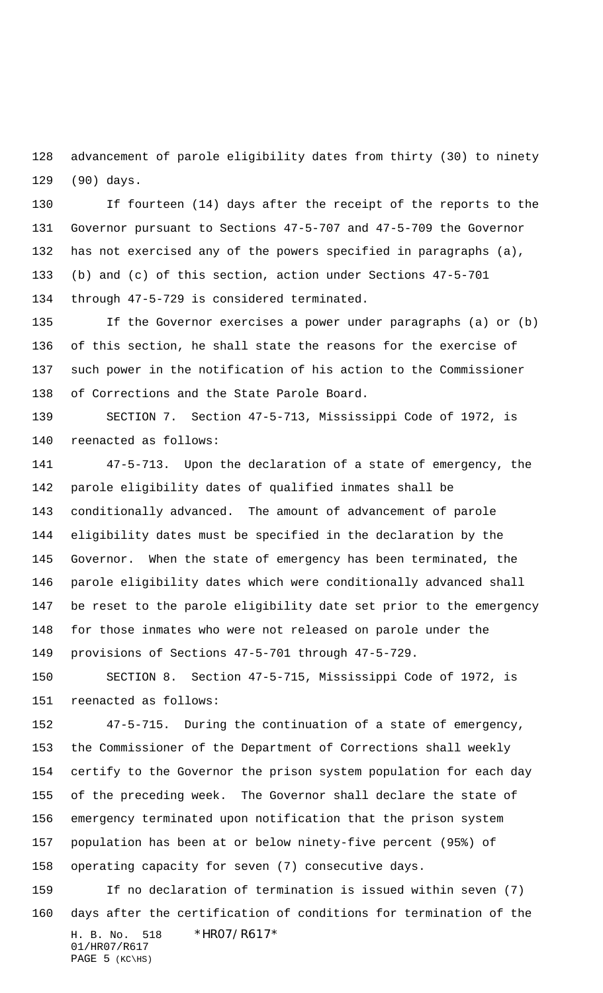advancement of parole eligibility dates from thirty (30) to ninety (90) days.

 If fourteen (14) days after the receipt of the reports to the Governor pursuant to Sections 47-5-707 and 47-5-709 the Governor has not exercised any of the powers specified in paragraphs (a), (b) and (c) of this section, action under Sections 47-5-701 through 47-5-729 is considered terminated.

 If the Governor exercises a power under paragraphs (a) or (b) of this section, he shall state the reasons for the exercise of such power in the notification of his action to the Commissioner of Corrections and the State Parole Board.

 SECTION 7. Section 47-5-713, Mississippi Code of 1972, is reenacted as follows:

 47-5-713. Upon the declaration of a state of emergency, the parole eligibility dates of qualified inmates shall be conditionally advanced. The amount of advancement of parole eligibility dates must be specified in the declaration by the Governor. When the state of emergency has been terminated, the parole eligibility dates which were conditionally advanced shall be reset to the parole eligibility date set prior to the emergency for those inmates who were not released on parole under the provisions of Sections 47-5-701 through 47-5-729.

 SECTION 8. Section 47-5-715, Mississippi Code of 1972, is reenacted as follows:

 47-5-715. During the continuation of a state of emergency, the Commissioner of the Department of Corrections shall weekly certify to the Governor the prison system population for each day of the preceding week. The Governor shall declare the state of emergency terminated upon notification that the prison system population has been at or below ninety-five percent (95%) of operating capacity for seven (7) consecutive days.

H. B. No. 518 \*HR07/R617\* 01/HR07/R617 PAGE (KC\HS) If no declaration of termination is issued within seven (7) days after the certification of conditions for termination of the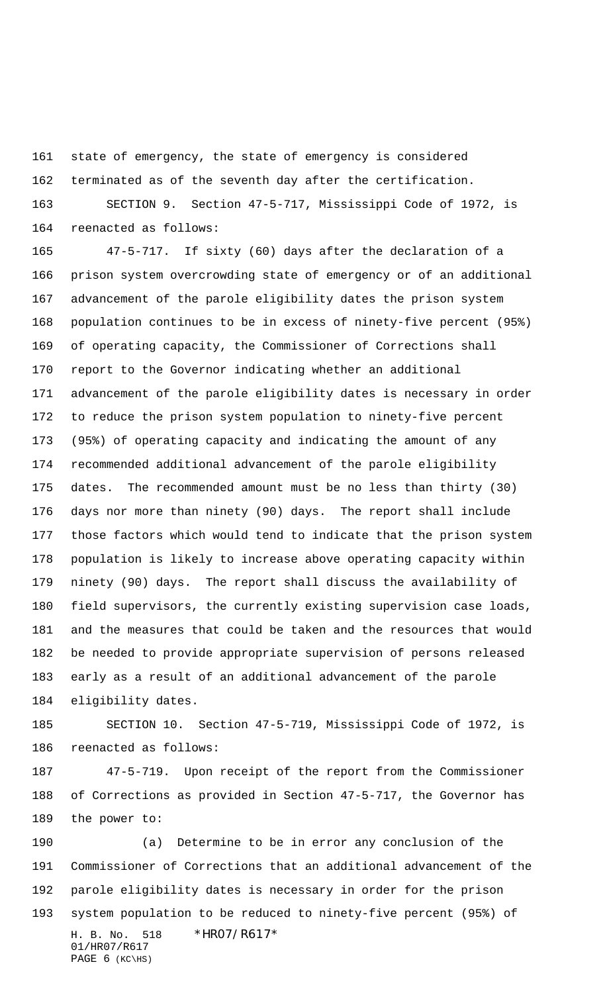state of emergency, the state of emergency is considered terminated as of the seventh day after the certification.

 SECTION 9. Section 47-5-717, Mississippi Code of 1972, is reenacted as follows:

 47-5-717. If sixty (60) days after the declaration of a prison system overcrowding state of emergency or of an additional advancement of the parole eligibility dates the prison system population continues to be in excess of ninety-five percent (95%) of operating capacity, the Commissioner of Corrections shall report to the Governor indicating whether an additional advancement of the parole eligibility dates is necessary in order to reduce the prison system population to ninety-five percent (95%) of operating capacity and indicating the amount of any recommended additional advancement of the parole eligibility dates. The recommended amount must be no less than thirty (30) days nor more than ninety (90) days. The report shall include those factors which would tend to indicate that the prison system population is likely to increase above operating capacity within ninety (90) days. The report shall discuss the availability of field supervisors, the currently existing supervision case loads, and the measures that could be taken and the resources that would be needed to provide appropriate supervision of persons released early as a result of an additional advancement of the parole eligibility dates.

 SECTION 10. Section 47-5-719, Mississippi Code of 1972, is reenacted as follows:

 47-5-719. Upon receipt of the report from the Commissioner of Corrections as provided in Section 47-5-717, the Governor has the power to:

H. B. No. 518 \*HR07/R617\* 01/HR07/R617 PAGE (KC\HS) (a) Determine to be in error any conclusion of the Commissioner of Corrections that an additional advancement of the parole eligibility dates is necessary in order for the prison system population to be reduced to ninety-five percent (95%) of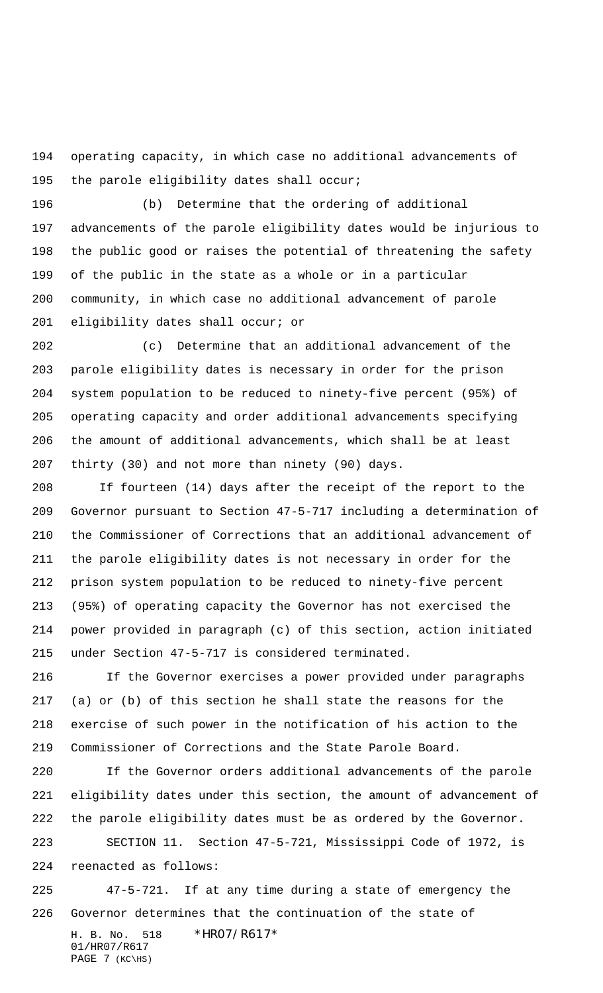operating capacity, in which case no additional advancements of 195 the parole eligibility dates shall occur;

 (b) Determine that the ordering of additional advancements of the parole eligibility dates would be injurious to the public good or raises the potential of threatening the safety of the public in the state as a whole or in a particular community, in which case no additional advancement of parole eligibility dates shall occur; or

 (c) Determine that an additional advancement of the parole eligibility dates is necessary in order for the prison system population to be reduced to ninety-five percent (95%) of operating capacity and order additional advancements specifying the amount of additional advancements, which shall be at least thirty (30) and not more than ninety (90) days.

208 If fourteen (14) days after the receipt of the report to the Governor pursuant to Section 47-5-717 including a determination of the Commissioner of Corrections that an additional advancement of the parole eligibility dates is not necessary in order for the prison system population to be reduced to ninety-five percent (95%) of operating capacity the Governor has not exercised the power provided in paragraph (c) of this section, action initiated under Section 47-5-717 is considered terminated.

 If the Governor exercises a power provided under paragraphs (a) or (b) of this section he shall state the reasons for the exercise of such power in the notification of his action to the Commissioner of Corrections and the State Parole Board.

 If the Governor orders additional advancements of the parole eligibility dates under this section, the amount of advancement of the parole eligibility dates must be as ordered by the Governor.

 SECTION 11. Section 47-5-721, Mississippi Code of 1972, is reenacted as follows:

H. B. No. 518 \*HR07/R617\* 47-5-721. If at any time during a state of emergency the Governor determines that the continuation of the state of

01/HR07/R617 PAGE (KC\HS)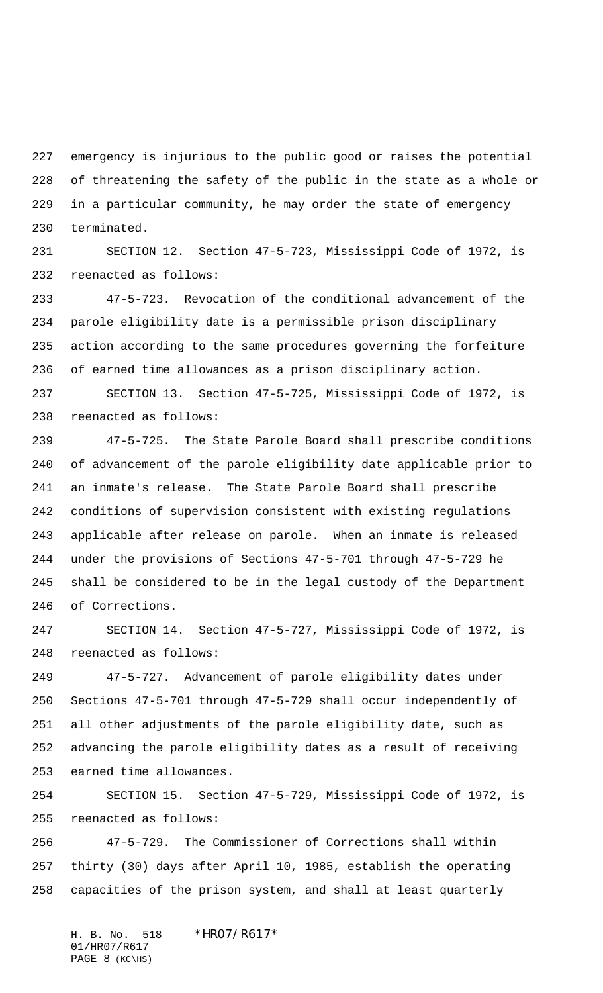emergency is injurious to the public good or raises the potential of threatening the safety of the public in the state as a whole or in a particular community, he may order the state of emergency terminated.

 SECTION 12. Section 47-5-723, Mississippi Code of 1972, is reenacted as follows:

 47-5-723. Revocation of the conditional advancement of the parole eligibility date is a permissible prison disciplinary action according to the same procedures governing the forfeiture of earned time allowances as a prison disciplinary action.

 SECTION 13. Section 47-5-725, Mississippi Code of 1972, is reenacted as follows:

 47-5-725. The State Parole Board shall prescribe conditions of advancement of the parole eligibility date applicable prior to an inmate's release. The State Parole Board shall prescribe conditions of supervision consistent with existing regulations applicable after release on parole. When an inmate is released under the provisions of Sections 47-5-701 through 47-5-729 he shall be considered to be in the legal custody of the Department of Corrections.

 SECTION 14. Section 47-5-727, Mississippi Code of 1972, is reenacted as follows:

 47-5-727. Advancement of parole eligibility dates under Sections 47-5-701 through 47-5-729 shall occur independently of all other adjustments of the parole eligibility date, such as advancing the parole eligibility dates as a result of receiving earned time allowances.

 SECTION 15. Section 47-5-729, Mississippi Code of 1972, is reenacted as follows:

 47-5-729. The Commissioner of Corrections shall within thirty (30) days after April 10, 1985, establish the operating capacities of the prison system, and shall at least quarterly

H. B. No. 518 \*HR07/R617\* 01/HR07/R617 PAGE (KC\HS)